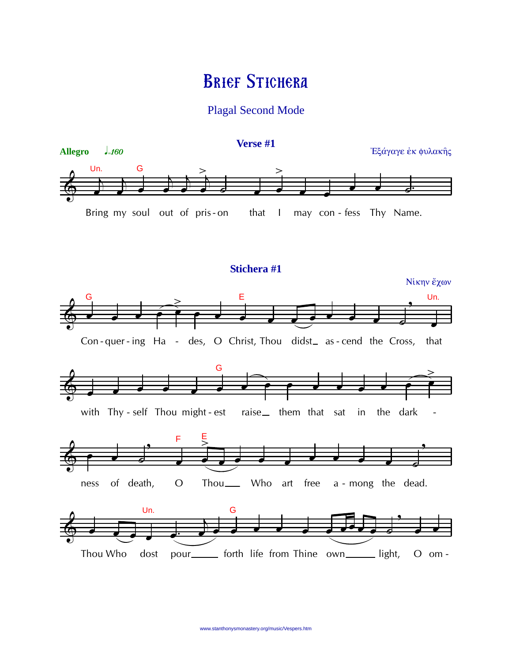# **BRIEF STICHERA**

# **Plagal Second Mode**

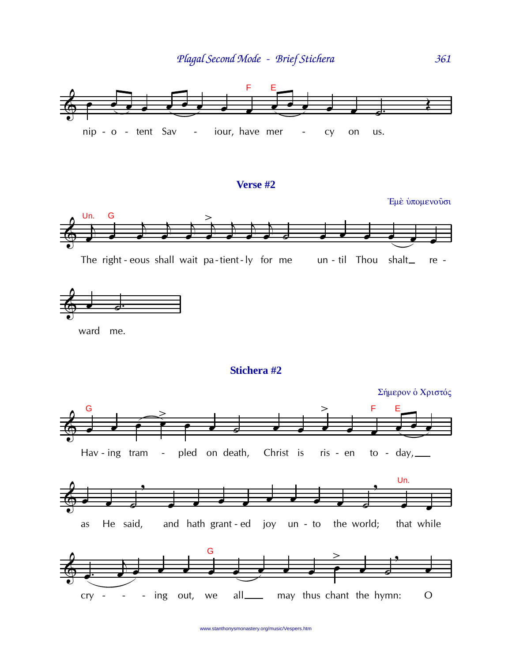361



#### Verse #2





ward me.

## Stichera #2



www.stanthonysmonastery.org/music/Vespers.htm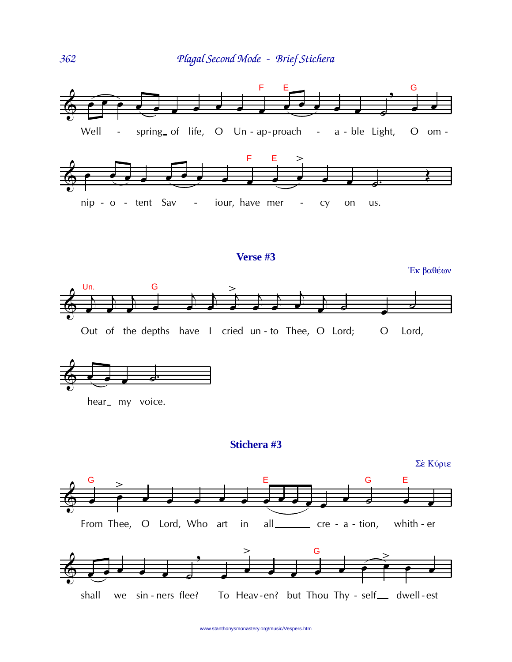



www.stanthonysmonastery.org/music/Vespers.htm

362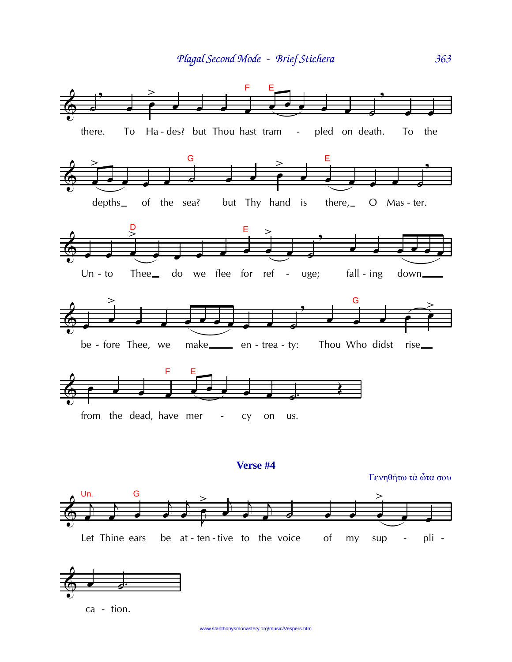

Verse #4

Γενηθήτω τὰ ὦτα σου



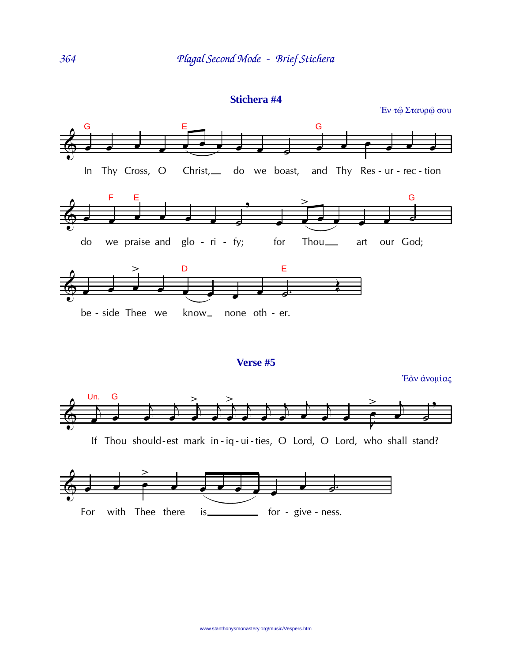

## Stichera #4

Verse #5

Έάν άνομίας



If Thou should-est mark in-iq-ui-ties, O Lord, O Lord, who shall stand?

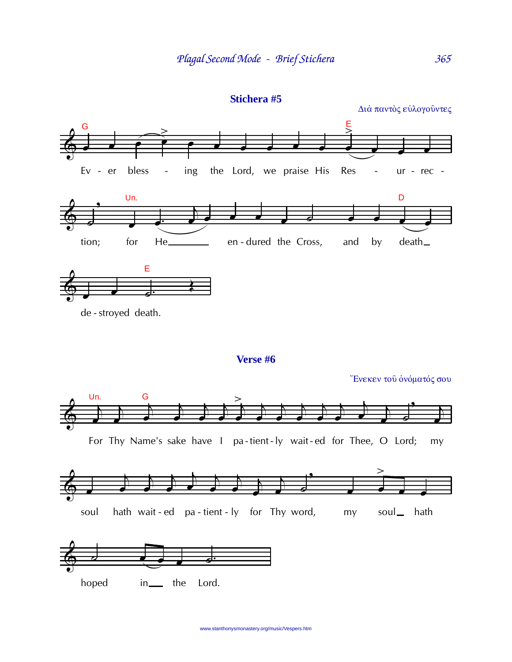

 $365$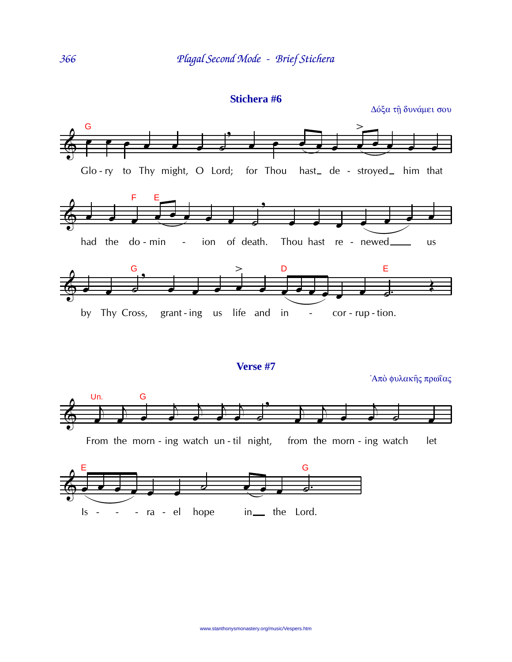



From the morn - ing watch un - til night, from the morn - ing watch let

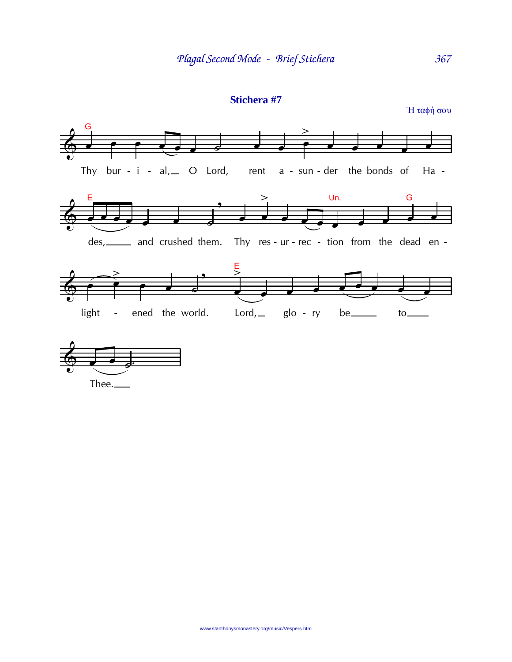



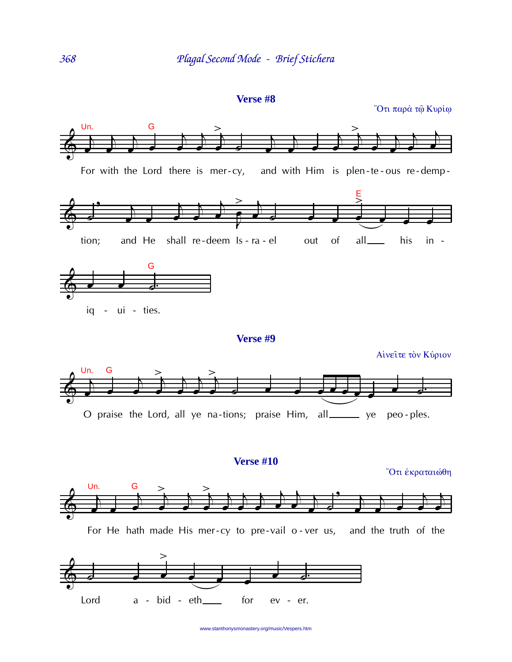```
Verse #8
```
Ότι παρά τώ Κυρίω





www.stanthonysmonastery.org/music/Vespers.htm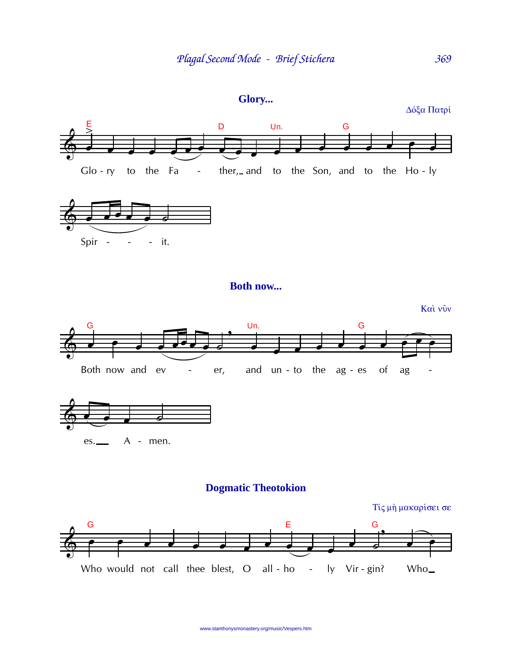

Δόξα Πατρί

369

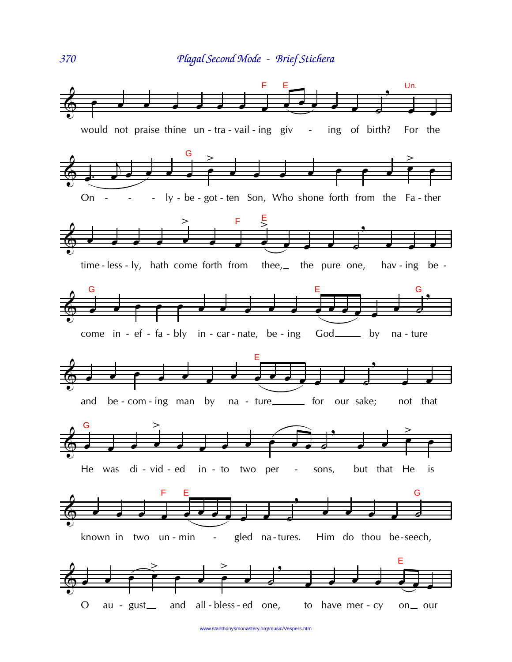